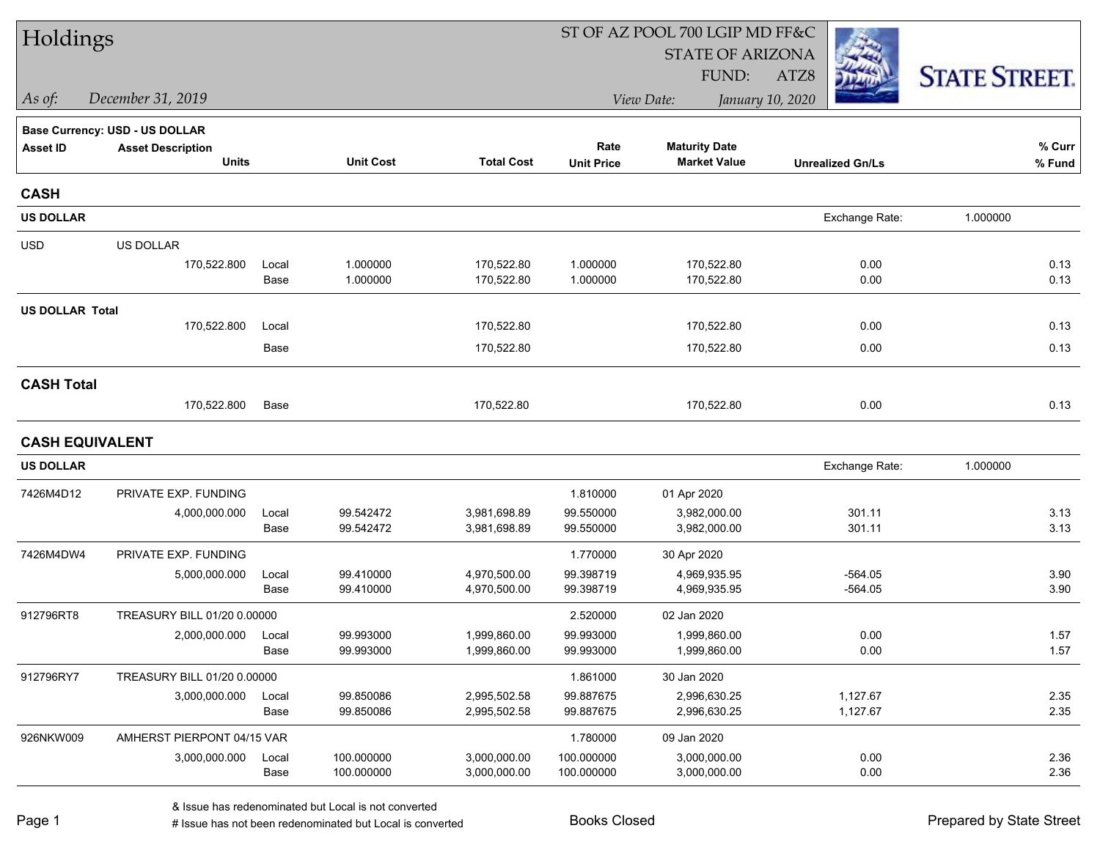| Holdings               |                                |       |                  |                   | ST OF AZ POOL 700 LGIP MD FF&C |                         |                         |                      |  |  |
|------------------------|--------------------------------|-------|------------------|-------------------|--------------------------------|-------------------------|-------------------------|----------------------|--|--|
|                        |                                |       |                  |                   |                                | <b>STATE OF ARIZONA</b> |                         |                      |  |  |
|                        |                                |       |                  |                   |                                | FUND:                   | ATZ8                    | <b>STATE STREET.</b> |  |  |
| As of:                 | December 31, 2019              |       |                  |                   |                                | View Date:              | January 10, 2020        |                      |  |  |
|                        | Base Currency: USD - US DOLLAR |       |                  |                   |                                |                         |                         |                      |  |  |
| <b>Asset ID</b>        | <b>Asset Description</b>       |       |                  |                   | Rate                           | <b>Maturity Date</b>    |                         | $%$ Curr             |  |  |
|                        | <b>Units</b>                   |       | <b>Unit Cost</b> | <b>Total Cost</b> | <b>Unit Price</b>              | <b>Market Value</b>     | <b>Unrealized Gn/Ls</b> | % Fund               |  |  |
| <b>CASH</b>            |                                |       |                  |                   |                                |                         |                         |                      |  |  |
| <b>US DOLLAR</b>       |                                |       |                  |                   |                                |                         | Exchange Rate:          | 1.000000             |  |  |
| <b>USD</b>             | US DOLLAR                      |       |                  |                   |                                |                         |                         |                      |  |  |
|                        | 170,522.800                    | Local | 1.000000         | 170,522.80        | 1.000000                       | 170,522.80              | 0.00                    | 0.13                 |  |  |
|                        |                                | Base  | 1.000000         | 170,522.80        | 1.000000                       | 170,522.80              | 0.00                    | 0.13                 |  |  |
| <b>US DOLLAR Total</b> |                                |       |                  |                   |                                |                         |                         |                      |  |  |
|                        | 170,522.800                    | Local |                  | 170,522.80        |                                | 170,522.80              | 0.00                    | 0.13                 |  |  |
|                        |                                | Base  |                  | 170,522.80        |                                | 170,522.80              | 0.00                    | 0.13                 |  |  |
| <b>CASH Total</b>      |                                |       |                  |                   |                                |                         |                         |                      |  |  |
|                        | 170,522.800                    | Base  |                  | 170,522.80        |                                | 170,522.80              | 0.00                    | 0.13                 |  |  |
| <b>CASH EQUIVALENT</b> |                                |       |                  |                   |                                |                         |                         |                      |  |  |
| <b>US DOLLAR</b>       |                                |       |                  |                   |                                |                         | Exchange Rate:          | 1.000000             |  |  |
| 7426M4D12              | PRIVATE EXP. FUNDING           |       |                  |                   | 1.810000                       | 01 Apr 2020             |                         |                      |  |  |
|                        | 4,000,000.000                  | Local | 99.542472        | 3,981,698.89      | 99.550000                      | 3,982,000.00            | 301.11                  | 3.13                 |  |  |
|                        |                                | Base  | 99.542472        | 3,981,698.89      | 99.550000                      | 3,982,000.00            | 301.11                  | 3.13                 |  |  |
| 7426M4DW4              | PRIVATE EXP. FUNDING           |       |                  |                   | 1.770000                       | 30 Apr 2020             |                         |                      |  |  |
|                        | 5,000,000.000                  | Local | 99.410000        | 4,970,500.00      | 99.398719                      | 4,969,935.95            | $-564.05$               | 3.90                 |  |  |
|                        |                                | Base  | 99.410000        | 4,970,500.00      | 99.398719                      | 4,969,935.95            | $-564.05$               | 3.90                 |  |  |
| 912796RT8              | TREASURY BILL 01/20 0.00000    |       |                  |                   | 2.520000                       | 02 Jan 2020             |                         |                      |  |  |
|                        | 2,000,000.000                  | Local | 99.993000        | 1,999,860.00      | 99.993000                      | 1,999,860.00            | 0.00                    | 1.57                 |  |  |
|                        |                                | Base  | 99.993000        | 1,999,860.00      | 99.993000                      | 1,999,860.00            | 0.00                    | 1.57                 |  |  |
| 912796RY7              | TREASURY BILL 01/20 0.00000    |       |                  |                   | 1.861000                       | 30 Jan 2020             |                         |                      |  |  |
|                        | 3,000,000.000                  | Local | 99.850086        | 2,995,502.58      | 99.887675                      | 2,996,630.25            | 1,127.67                | 2.35                 |  |  |
|                        |                                | Base  | 99.850086        | 2,995,502.58      | 99.887675                      | 2,996,630.25            | 1,127.67                | 2.35                 |  |  |
| 926NKW009              | AMHERST PIERPONT 04/15 VAR     |       |                  |                   | 1.780000                       | 09 Jan 2020             |                         |                      |  |  |
|                        | 3,000,000.000                  | Local | 100.000000       | 3,000,000.00      | 100.000000                     | 3,000,000.00            | 0.00                    | 2.36                 |  |  |
|                        |                                | Base  | 100.000000       | 3,000,000.00      | 100.000000                     | 3,000,000.00            | 0.00                    | 2.36                 |  |  |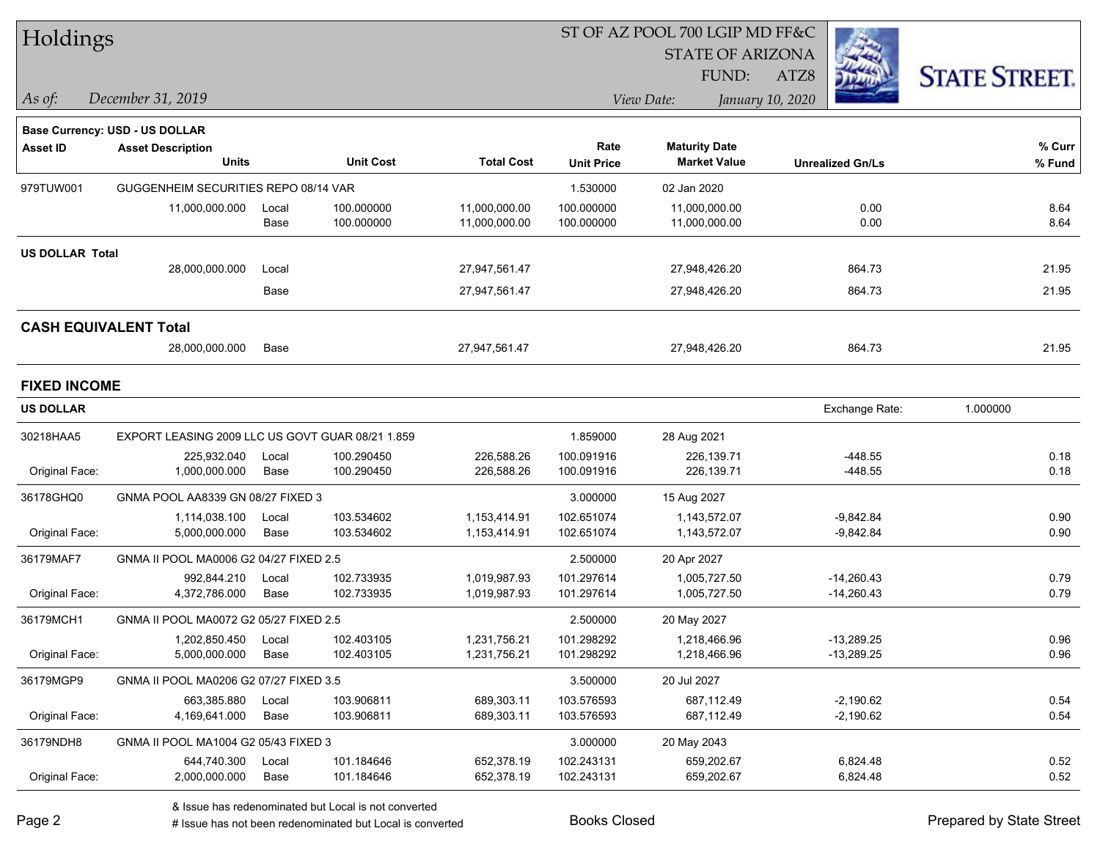| Holdings               |                                                  |       |                  |                   | ST OF AZ POOL 700 LGIP MD FF&C |                         |                         |                      |  |  |
|------------------------|--------------------------------------------------|-------|------------------|-------------------|--------------------------------|-------------------------|-------------------------|----------------------|--|--|
|                        |                                                  |       |                  |                   |                                | <b>STATE OF ARIZONA</b> |                         |                      |  |  |
|                        |                                                  |       |                  |                   |                                | FUND:                   | ATZ8                    | <b>STATE STREET.</b> |  |  |
| $\vert$ As of:         | December 31, 2019                                |       |                  |                   |                                | View Date:              | January 10, 2020        |                      |  |  |
|                        | <b>Base Currency: USD - US DOLLAR</b>            |       |                  |                   |                                |                         |                         |                      |  |  |
| <b>Asset ID</b>        | <b>Asset Description</b>                         |       |                  |                   | Rate                           | <b>Maturity Date</b>    |                         | $%$ Curr             |  |  |
|                        | <b>Units</b>                                     |       | <b>Unit Cost</b> | <b>Total Cost</b> | <b>Unit Price</b>              | <b>Market Value</b>     | <b>Unrealized Gn/Ls</b> | % Fund               |  |  |
| 979TUW001              | GUGGENHEIM SECURITIES REPO 08/14 VAR             |       |                  |                   | 1.530000                       | 02 Jan 2020             |                         |                      |  |  |
|                        | 11,000,000.000                                   | Local | 100.000000       | 11,000,000.00     | 100.000000                     | 11,000,000.00           | 0.00                    | 8.64                 |  |  |
|                        |                                                  | Base  | 100.000000       | 11,000,000.00     | 100.000000                     | 11,000,000.00           | 0.00                    | 8.64                 |  |  |
| <b>US DOLLAR Total</b> |                                                  |       |                  |                   |                                |                         |                         |                      |  |  |
|                        | 28,000,000.000                                   | Local |                  | 27,947,561.47     |                                | 27,948,426.20           | 864.73                  | 21.95                |  |  |
|                        |                                                  | Base  |                  | 27,947,561.47     |                                | 27,948,426.20           | 864.73                  | 21.95                |  |  |
|                        | <b>CASH EQUIVALENT Total</b>                     |       |                  |                   |                                |                         |                         |                      |  |  |
|                        | 28,000,000.000                                   | Base  |                  | 27,947,561.47     |                                | 27,948,426.20           | 864.73                  | 21.95                |  |  |
| <b>FIXED INCOME</b>    |                                                  |       |                  |                   |                                |                         |                         |                      |  |  |
| <b>US DOLLAR</b>       |                                                  |       |                  |                   |                                |                         | Exchange Rate:          | 1.000000             |  |  |
| 30218HAA5              | EXPORT LEASING 2009 LLC US GOVT GUAR 08/21 1.859 |       |                  |                   | 1.859000                       | 28 Aug 2021             |                         |                      |  |  |
|                        | 225,932.040                                      | Local | 100.290450       | 226,588.26        | 100.091916                     | 226,139.71              | $-448.55$               | 0.18                 |  |  |
| Original Face:         | 1,000,000.000                                    | Base  | 100.290450       | 226,588.26        | 100.091916                     | 226,139.71              | $-448.55$               | 0.18                 |  |  |
| 36178GHQ0              | GNMA POOL AA8339 GN 08/27 FIXED 3                |       |                  |                   | 3.000000                       | 15 Aug 2027             |                         |                      |  |  |
|                        | 1,114,038.100                                    | Local | 103.534602       | 1,153,414.91      | 102.651074                     | 1,143,572.07            | $-9,842.84$             | 0.90                 |  |  |
| Original Face:         | 5,000,000.000                                    | Base  | 103.534602       | 1,153,414.91      | 102.651074                     | 1,143,572.07            | $-9,842.84$             | 0.90                 |  |  |
| 36179MAF7              | GNMA II POOL MA0006 G2 04/27 FIXED 2.5           |       |                  |                   | 2.500000                       | 20 Apr 2027             |                         |                      |  |  |
|                        | 992,844.210                                      | Local | 102.733935       | 1,019,987.93      | 101.297614                     | 1,005,727.50            | $-14,260.43$            | 0.79                 |  |  |
| Original Face:         | 4,372,786.000                                    | Base  | 102.733935       | 1,019,987.93      | 101.297614                     | 1,005,727.50            | -14,260.43              | 0.79                 |  |  |
| 36179MCH1              | GNMA II POOL MA0072 G2 05/27 FIXED 2.5           |       |                  |                   | 2.500000                       | 20 May 2027             |                         |                      |  |  |
|                        | 1,202,850.450                                    | Local | 102.403105       | 1,231,756.21      | 101.298292                     | 1,218,466.96            | $-13,289.25$            | 0.96                 |  |  |
| Original Face:         | 5,000,000.000                                    | Base  | 102.403105       | 1,231,756.21      | 101.298292                     | 1,218,466.96            | $-13,289.25$            | 0.96                 |  |  |
| 36179MGP9              | GNMA II POOL MA0206 G2 07/27 FIXED 3.5           |       |                  |                   | 3.500000                       | 20 Jul 2027             |                         |                      |  |  |
|                        | 663,385.880                                      | Local | 103.906811       | 689,303.11        | 103.576593                     | 687,112.49              | $-2,190.62$             | 0.54                 |  |  |
| Original Face:         | 4,169,641.000                                    | Base  | 103.906811       | 689,303.11        | 103.576593                     | 687,112.49              | $-2,190.62$             | 0.54                 |  |  |
| 36179NDH8              | GNMA II POOL MA1004 G2 05/43 FIXED 3             |       |                  |                   | 3.000000                       | 20 May 2043             |                         |                      |  |  |
|                        | 644,740.300                                      | Local | 101.184646       | 652,378.19        | 102.243131                     | 659,202.67              | 6,824.48                | 0.52                 |  |  |
| Original Face:         | 2,000,000.000                                    | Base  | 101.184646       | 652,378.19        | 102.243131                     | 659,202.67              | 6,824.48                | 0.52                 |  |  |

& Issue has redenominated but Local is not converted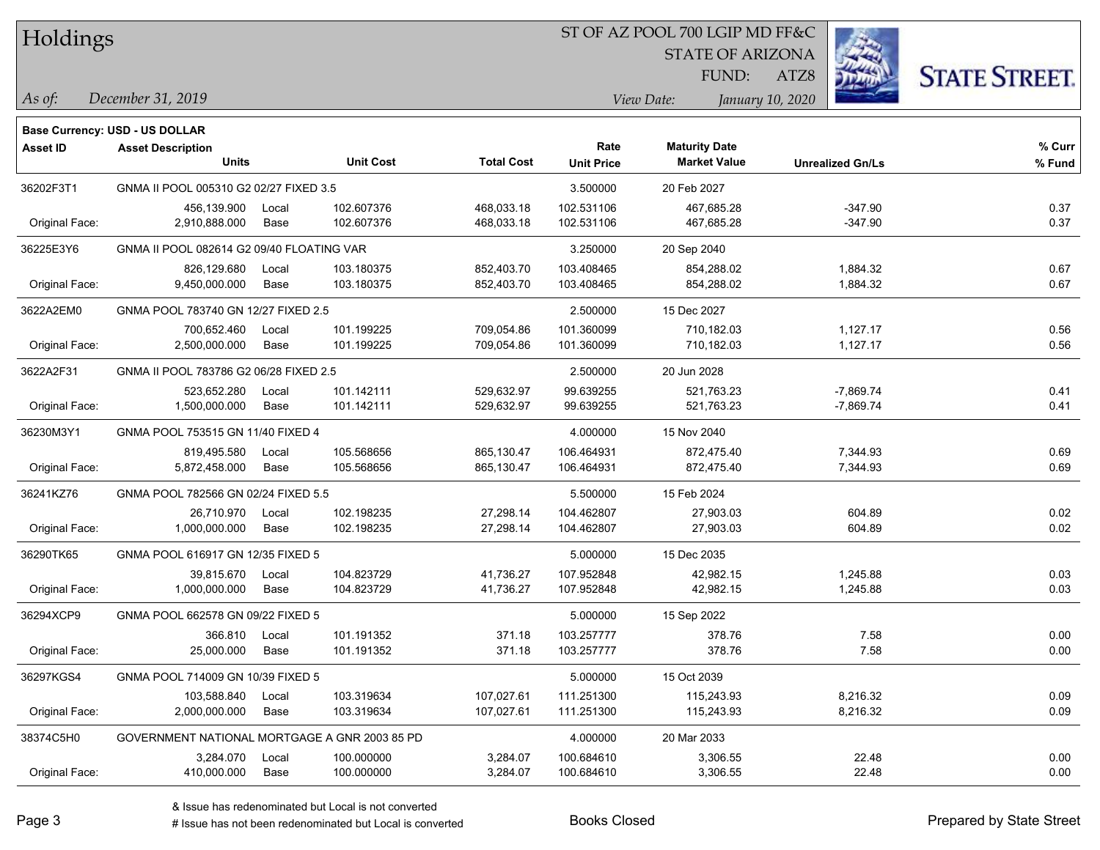#### ST OF AZ POOL 700 LGIP MD FF&C

STATE OF ARIZONA

ATZ8



*December 31, 2019 As of: View Date: January 10, 2020*

**Base Currency: USD - US DOLLAR**

FUND:

| <b>Asset ID</b> | <b>Asset Description</b>                      |       |                  |                   | Rate              | <b>Maturity Date</b> |                         | % Curr |
|-----------------|-----------------------------------------------|-------|------------------|-------------------|-------------------|----------------------|-------------------------|--------|
|                 | <b>Units</b>                                  |       | <b>Unit Cost</b> | <b>Total Cost</b> | <b>Unit Price</b> | <b>Market Value</b>  | <b>Unrealized Gn/Ls</b> | % Fund |
| 36202F3T1       | GNMA II POOL 005310 G2 02/27 FIXED 3.5        |       |                  |                   | 3.500000          | 20 Feb 2027          |                         |        |
|                 | 456,139.900                                   | Local | 102.607376       | 468,033.18        | 102.531106        | 467,685.28           | $-347.90$               | 0.37   |
| Original Face:  | 2,910,888.000                                 | Base  | 102.607376       | 468,033.18        | 102.531106        | 467,685.28           | $-347.90$               | 0.37   |
| 36225E3Y6       | GNMA II POOL 082614 G2 09/40 FLOATING VAR     |       |                  |                   | 3.250000          | 20 Sep 2040          |                         |        |
|                 | 826,129.680                                   | Local | 103.180375       | 852,403.70        | 103.408465        | 854,288.02           | 1,884.32                | 0.67   |
| Original Face:  | 9,450,000.000                                 | Base  | 103.180375       | 852,403.70        | 103.408465        | 854,288.02           | 1,884.32                | 0.67   |
| 3622A2EM0       | GNMA POOL 783740 GN 12/27 FIXED 2.5           |       |                  |                   | 2.500000          | 15 Dec 2027          |                         |        |
|                 | 700,652.460                                   | Local | 101.199225       | 709,054.86        | 101.360099        | 710,182.03           | 1,127.17                | 0.56   |
| Original Face:  | 2,500,000.000                                 | Base  | 101.199225       | 709,054.86        | 101.360099        | 710,182.03           | 1,127.17                | 0.56   |
| 3622A2F31       | GNMA II POOL 783786 G2 06/28 FIXED 2.5        |       |                  |                   | 2.500000          | 20 Jun 2028          |                         |        |
|                 | 523,652.280                                   | Local | 101.142111       | 529,632.97        | 99.639255         | 521,763.23           | $-7,869.74$             | 0.41   |
| Original Face:  | 1,500,000.000                                 | Base  | 101.142111       | 529,632.97        | 99.639255         | 521,763.23           | $-7,869.74$             | 0.41   |
| 36230M3Y1       | GNMA POOL 753515 GN 11/40 FIXED 4             |       |                  |                   | 4.000000          | 15 Nov 2040          |                         |        |
|                 | 819,495.580                                   | Local | 105.568656       | 865,130.47        | 106.464931        | 872,475.40           | 7,344.93                | 0.69   |
| Original Face:  | 5,872,458.000                                 | Base  | 105.568656       | 865,130.47        | 106.464931        | 872,475.40           | 7,344.93                | 0.69   |
| 36241KZ76       | GNMA POOL 782566 GN 02/24 FIXED 5.5           |       |                  |                   | 5.500000          | 15 Feb 2024          |                         |        |
|                 | 26,710.970                                    | Local | 102.198235       | 27,298.14         | 104.462807        | 27,903.03            | 604.89                  | 0.02   |
| Original Face:  | 1,000,000.000                                 | Base  | 102.198235       | 27,298.14         | 104.462807        | 27,903.03            | 604.89                  | 0.02   |
| 36290TK65       | GNMA POOL 616917 GN 12/35 FIXED 5             |       |                  |                   | 5.000000          | 15 Dec 2035          |                         |        |
|                 | 39,815.670                                    | Local | 104.823729       | 41,736.27         | 107.952848        | 42,982.15            | 1,245.88                | 0.03   |
| Original Face:  | 1,000,000.000                                 | Base  | 104.823729       | 41,736.27         | 107.952848        | 42,982.15            | 1,245.88                | 0.03   |
| 36294XCP9       | GNMA POOL 662578 GN 09/22 FIXED 5             |       |                  |                   | 5.000000          | 15 Sep 2022          |                         |        |
|                 | 366.810                                       | Local | 101.191352       | 371.18            | 103.257777        | 378.76               | 7.58                    | 0.00   |
| Original Face:  | 25,000.000                                    | Base  | 101.191352       | 371.18            | 103.257777        | 378.76               | 7.58                    | 0.00   |
| 36297KGS4       | GNMA POOL 714009 GN 10/39 FIXED 5             |       |                  |                   | 5.000000          | 15 Oct 2039          |                         |        |
|                 | 103,588.840                                   | Local | 103.319634       | 107,027.61        | 111.251300        | 115,243.93           | 8,216.32                | 0.09   |
| Original Face:  | 2,000,000.000                                 | Base  | 103.319634       | 107,027.61        | 111.251300        | 115,243.93           | 8,216.32                | 0.09   |
| 38374C5H0       | GOVERNMENT NATIONAL MORTGAGE A GNR 2003 85 PD |       |                  |                   | 4.000000          | 20 Mar 2033          |                         |        |
|                 | 3,284.070 Local                               |       | 100.000000       | 3,284.07          | 100.684610        | 3,306.55             | 22.48                   | 0.00   |

Original Face: 410,000.000 Base 100.000000 3,284.07 100.684610 3,306.55 22.48 0.00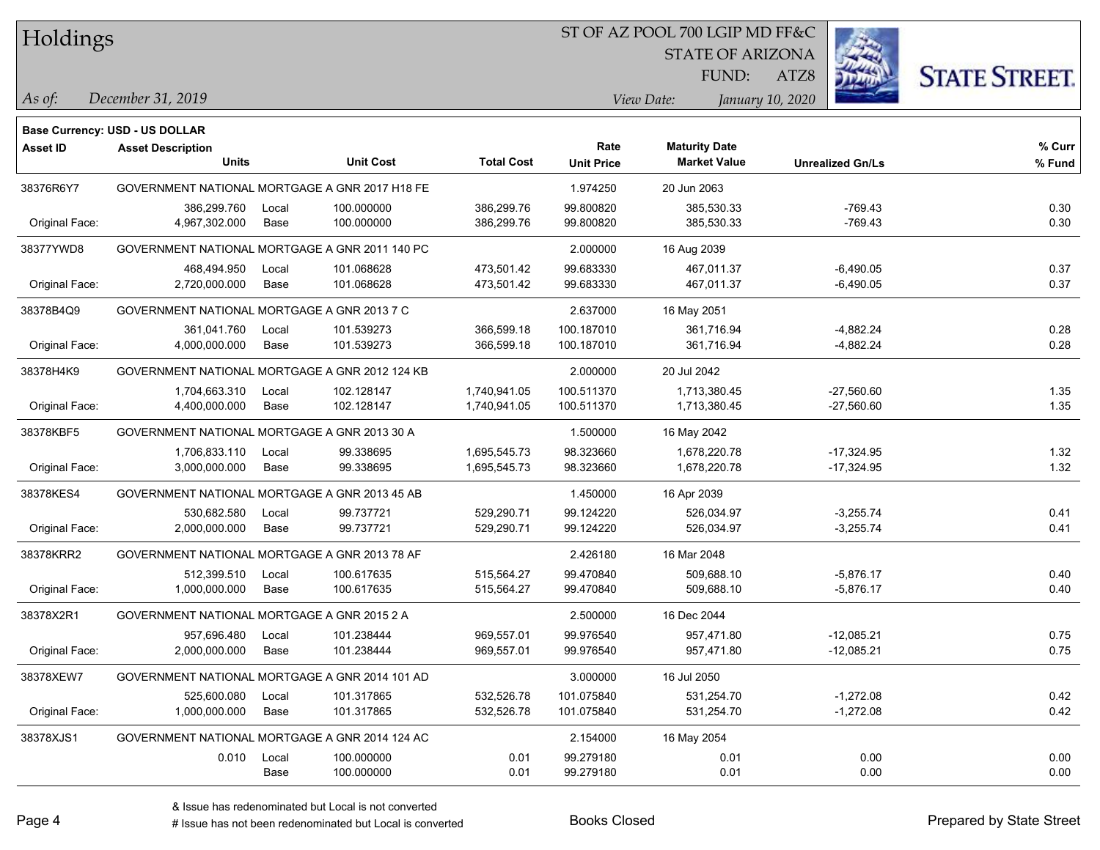#### ST OF AZ POOL 700 LGIP MD FF&C

STATE OF ARIZONA

ATZ8



*December 31, 2019 As of: View Date: January 10, 2020*

**Base Currency: USD - US DOLLAR**

FUND:

| <b>Asset ID</b> | <b>Asset Description</b><br><b>Units</b>       |       | <b>Unit Cost</b> | <b>Total Cost</b> | Rate<br><b>Unit Price</b> | <b>Maturity Date</b><br><b>Market Value</b> | <b>Unrealized Gn/Ls</b> | % Curr<br>% Fund |
|-----------------|------------------------------------------------|-------|------------------|-------------------|---------------------------|---------------------------------------------|-------------------------|------------------|
| 38376R6Y7       | GOVERNMENT NATIONAL MORTGAGE A GNR 2017 H18 FE |       |                  |                   | 1.974250                  | 20 Jun 2063                                 |                         |                  |
|                 | 386,299.760                                    | Local | 100.000000       | 386,299.76        | 99.800820                 | 385,530.33                                  | $-769.43$               | 0.30             |
| Original Face:  | 4,967,302.000                                  | Base  | 100.000000       | 386,299.76        | 99.800820                 | 385,530.33                                  | $-769.43$               | 0.30             |
| 38377YWD8       | GOVERNMENT NATIONAL MORTGAGE A GNR 2011 140 PC |       |                  |                   | 2.000000                  | 16 Aug 2039                                 |                         |                  |
|                 | 468,494.950                                    | Local | 101.068628       | 473,501.42        | 99.683330                 | 467,011.37                                  | $-6,490.05$             | 0.37             |
| Original Face:  | 2,720,000.000                                  | Base  | 101.068628       | 473,501.42        | 99.683330                 | 467,011.37                                  | $-6,490.05$             | 0.37             |
| 38378B4Q9       | GOVERNMENT NATIONAL MORTGAGE A GNR 2013 7 C    |       |                  |                   | 2.637000                  | 16 May 2051                                 |                         |                  |
|                 | 361,041.760                                    | Local | 101.539273       | 366,599.18        | 100.187010                | 361,716.94                                  | $-4,882.24$             | 0.28             |
| Original Face:  | 4,000,000.000                                  | Base  | 101.539273       | 366,599.18        | 100.187010                | 361,716.94                                  | $-4,882.24$             | 0.28             |
| 38378H4K9       | GOVERNMENT NATIONAL MORTGAGE A GNR 2012 124 KB |       |                  |                   | 2.000000                  | 20 Jul 2042                                 |                         |                  |
|                 | 1,704,663.310                                  | Local | 102.128147       | 1,740,941.05      | 100.511370                | 1,713,380.45                                | $-27,560.60$            | 1.35             |
| Original Face:  | 4,400,000.000                                  | Base  | 102.128147       | 1,740,941.05      | 100.511370                | 1,713,380.45                                | $-27,560.60$            | 1.35             |
| 38378KBF5       | GOVERNMENT NATIONAL MORTGAGE A GNR 2013 30 A   |       |                  |                   | 1.500000                  | 16 May 2042                                 |                         |                  |
|                 | 1,706,833.110                                  | Local | 99.338695        | 1,695,545.73      | 98.323660                 | 1,678,220.78                                | $-17,324.95$            | 1.32             |
| Original Face:  | 3,000,000.000                                  | Base  | 99.338695        | 1,695,545.73      | 98.323660                 | 1,678,220.78                                | $-17,324.95$            | 1.32             |
| 38378KES4       | GOVERNMENT NATIONAL MORTGAGE A GNR 2013 45 AB  |       |                  |                   | 1.450000                  | 16 Apr 2039                                 |                         |                  |
|                 | 530,682.580                                    | Local | 99.737721        | 529,290.71        | 99.124220                 | 526,034.97                                  | $-3,255.74$             | 0.41             |
| Original Face:  | 2,000,000.000                                  | Base  | 99.737721        | 529,290.71        | 99.124220                 | 526,034.97                                  | $-3,255.74$             | 0.41             |
| 38378KRR2       | GOVERNMENT NATIONAL MORTGAGE A GNR 2013 78 AF  |       |                  |                   | 2.426180                  | 16 Mar 2048                                 |                         |                  |
|                 | 512,399.510                                    | Local | 100.617635       | 515,564.27        | 99.470840                 | 509,688.10                                  | $-5,876.17$             | 0.40             |
| Original Face:  | 1,000,000.000                                  | Base  | 100.617635       | 515,564.27        | 99.470840                 | 509,688.10                                  | $-5,876.17$             | 0.40             |
| 38378X2R1       | GOVERNMENT NATIONAL MORTGAGE A GNR 2015 2 A    |       |                  |                   | 2.500000                  | 16 Dec 2044                                 |                         |                  |
|                 | 957,696.480                                    | Local | 101.238444       | 969,557.01        | 99.976540                 | 957,471.80                                  | $-12,085.21$            | 0.75             |
| Original Face:  | 2,000,000.000                                  | Base  | 101.238444       | 969,557.01        | 99.976540                 | 957,471.80                                  | $-12,085.21$            | 0.75             |
| 38378XEW7       | GOVERNMENT NATIONAL MORTGAGE A GNR 2014 101 AD |       |                  |                   | 3.000000                  | 16 Jul 2050                                 |                         |                  |
|                 | 525,600.080                                    | Local | 101.317865       | 532,526.78        | 101.075840                | 531,254.70                                  | $-1,272.08$             | 0.42             |
| Original Face:  | 1,000,000.000                                  | Base  | 101.317865       | 532,526.78        | 101.075840                | 531,254.70                                  | $-1,272.08$             | 0.42             |
| 38378XJS1       | GOVERNMENT NATIONAL MORTGAGE A GNR 2014 124 AC |       |                  |                   | 2.154000                  | 16 May 2054                                 |                         |                  |
|                 | 0.010                                          | Local | 100.000000       | 0.01              | 99.279180                 | 0.01                                        | 0.00                    | 0.00             |
|                 |                                                | Base  | 100.000000       | 0.01              | 99.279180                 | 0.01                                        | 0.00                    | 0.00             |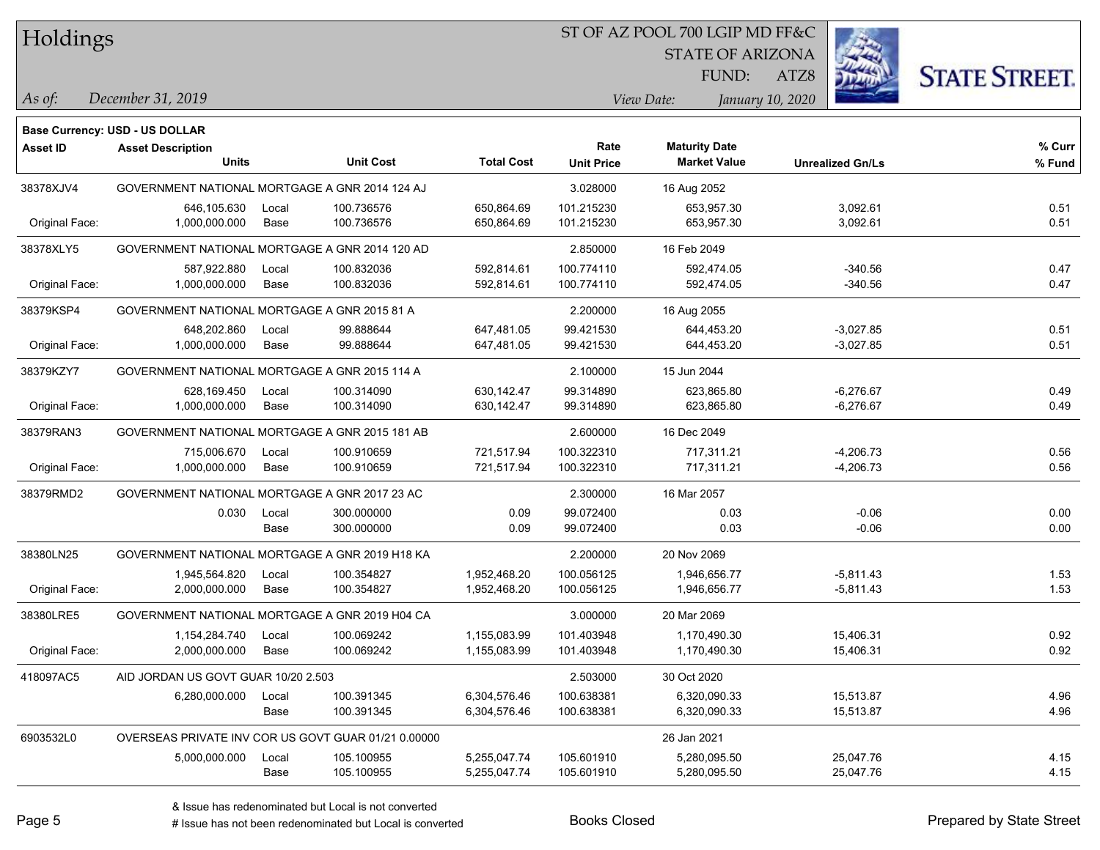#### ST OF AZ POOL 700 LGIP MD FF&C

STATE OF ARIZONA

ATZ8



*December 31, 2019 As of: View Date: January 10, 2020*

**Base Currency: USD - US DOLLAR**

FUND:

| Asset ID       | <b>Asset Description</b><br><b>Units</b>            |       | <b>Unit Cost</b> | <b>Total Cost</b> | Rate<br><b>Unit Price</b> | <b>Maturity Date</b><br><b>Market Value</b> | <b>Unrealized Gn/Ls</b> | % Curr<br>% Fund |
|----------------|-----------------------------------------------------|-------|------------------|-------------------|---------------------------|---------------------------------------------|-------------------------|------------------|
| 38378XJV4      | GOVERNMENT NATIONAL MORTGAGE A GNR 2014 124 AJ      |       |                  |                   | 3.028000                  | 16 Aug 2052                                 |                         |                  |
|                | 646,105.630                                         | Local | 100.736576       | 650,864.69        | 101.215230                | 653,957.30                                  | 3,092.61                | 0.51             |
| Original Face: | 1,000,000.000                                       | Base  | 100.736576       | 650,864.69        | 101.215230                | 653,957.30                                  | 3,092.61                | 0.51             |
| 38378XLY5      | GOVERNMENT NATIONAL MORTGAGE A GNR 2014 120 AD      |       |                  |                   | 2.850000                  | 16 Feb 2049                                 |                         |                  |
|                | 587,922.880                                         | Local | 100.832036       | 592,814.61        | 100.774110                | 592,474.05                                  | $-340.56$               | 0.47             |
| Original Face: | 1,000,000.000                                       | Base  | 100.832036       | 592,814.61        | 100.774110                | 592,474.05                                  | $-340.56$               | 0.47             |
| 38379KSP4      | GOVERNMENT NATIONAL MORTGAGE A GNR 2015 81 A        |       |                  |                   | 2.200000                  | 16 Aug 2055                                 |                         |                  |
|                | 648,202.860                                         | Local | 99.888644        | 647,481.05        | 99.421530                 | 644,453.20                                  | $-3,027.85$             | 0.51             |
| Original Face: | 1,000,000.000                                       | Base  | 99.888644        | 647,481.05        | 99.421530                 | 644,453.20                                  | $-3,027.85$             | 0.51             |
| 38379KZY7      | GOVERNMENT NATIONAL MORTGAGE A GNR 2015 114 A       |       |                  |                   | 2.100000                  | 15 Jun 2044                                 |                         |                  |
|                | 628,169.450                                         | Local | 100.314090       | 630,142.47        | 99.314890                 | 623,865.80                                  | $-6,276.67$             | 0.49             |
| Original Face: | 1,000,000.000                                       | Base  | 100.314090       | 630, 142. 47      | 99.314890                 | 623,865.80                                  | $-6,276.67$             | 0.49             |
| 38379RAN3      | GOVERNMENT NATIONAL MORTGAGE A GNR 2015 181 AB      |       |                  |                   | 2.600000                  | 16 Dec 2049                                 |                         |                  |
|                | 715,006.670                                         | Local | 100.910659       | 721,517.94        | 100.322310                | 717,311.21                                  | $-4,206.73$             | 0.56             |
| Original Face: | 1,000,000.000                                       | Base  | 100.910659       | 721,517.94        | 100.322310                | 717,311.21                                  | $-4,206.73$             | 0.56             |
| 38379RMD2      | GOVERNMENT NATIONAL MORTGAGE A GNR 2017 23 AC       |       |                  |                   | 2.300000                  | 16 Mar 2057                                 |                         |                  |
|                | 0.030                                               | Local | 300.000000       | 0.09              | 99.072400                 | 0.03                                        | $-0.06$                 | 0.00             |
|                |                                                     | Base  | 300.000000       | 0.09              | 99.072400                 | 0.03                                        | $-0.06$                 | 0.00             |
| 38380LN25      | GOVERNMENT NATIONAL MORTGAGE A GNR 2019 H18 KA      |       |                  |                   | 2.200000                  | 20 Nov 2069                                 |                         |                  |
|                | 1,945,564.820                                       | Local | 100.354827       | 1,952,468.20      | 100.056125                | 1,946,656.77                                | $-5,811.43$             | 1.53             |
| Original Face: | 2,000,000.000                                       | Base  | 100.354827       | 1,952,468.20      | 100.056125                | 1,946,656.77                                | $-5,811.43$             | 1.53             |
| 38380LRE5      | GOVERNMENT NATIONAL MORTGAGE A GNR 2019 H04 CA      |       |                  |                   | 3.000000                  | 20 Mar 2069                                 |                         |                  |
|                | 1,154,284.740                                       | Local | 100.069242       | 1,155,083.99      | 101.403948                | 1,170,490.30                                | 15,406.31               | 0.92             |
| Original Face: | 2,000,000.000                                       | Base  | 100.069242       | 1,155,083.99      | 101.403948                | 1,170,490.30                                | 15,406.31               | 0.92             |
| 418097AC5      | AID JORDAN US GOVT GUAR 10/20 2.503                 |       |                  |                   | 2.503000                  | 30 Oct 2020                                 |                         |                  |
|                | 6,280,000.000                                       | Local | 100.391345       | 6,304,576.46      | 100.638381                | 6,320,090.33                                | 15,513.87               | 4.96             |
|                |                                                     | Base  | 100.391345       | 6,304,576.46      | 100.638381                | 6,320,090.33                                | 15,513.87               | 4.96             |
| 6903532L0      | OVERSEAS PRIVATE INV COR US GOVT GUAR 01/21 0.00000 |       |                  |                   |                           | 26 Jan 2021                                 |                         |                  |
|                | 5,000,000.000                                       | Local | 105.100955       | 5,255,047.74      | 105.601910                | 5,280,095.50                                | 25,047.76               | 4.15             |
|                |                                                     | Base  | 105.100955       | 5,255,047.74      | 105.601910                | 5,280,095.50                                | 25,047.76               | 4.15             |

# Issue has not been redenominated but Local is converted Books Closed Prepared by State Street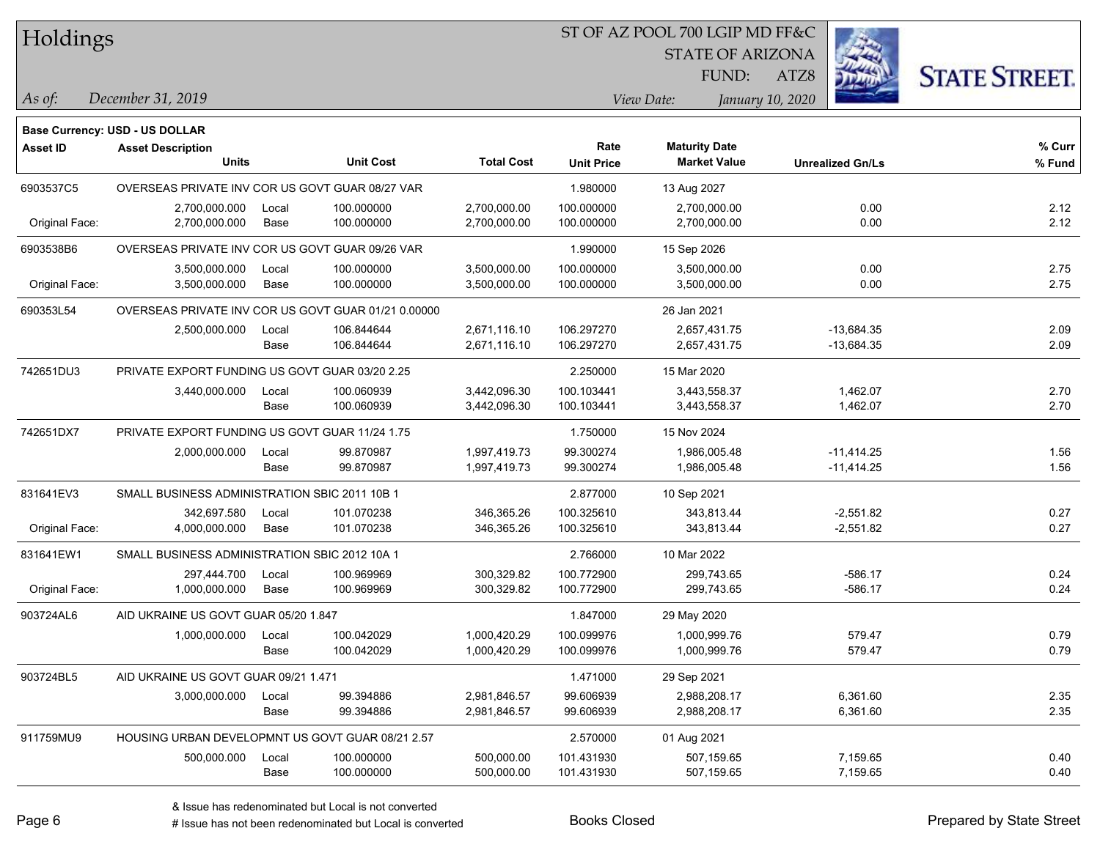#### ST OF AZ POOL 700 LGIP MD FF&C

STATE OF ARIZONA

ATZ8



*December 31, 2019 As of: View Date: January 10, 2020*

**Base Currency: USD - US DOLLAR**

FUND:

| <b>Asset ID</b> | <b>Asset Description</b>                            |       |                  |                   | Rate              | <b>Maturity Date</b> |                         | % Curr |
|-----------------|-----------------------------------------------------|-------|------------------|-------------------|-------------------|----------------------|-------------------------|--------|
|                 | <b>Units</b>                                        |       | <b>Unit Cost</b> | <b>Total Cost</b> | <b>Unit Price</b> | <b>Market Value</b>  | <b>Unrealized Gn/Ls</b> | % Fund |
| 6903537C5       | OVERSEAS PRIVATE INV COR US GOVT GUAR 08/27 VAR     |       |                  |                   | 1.980000          | 13 Aug 2027          |                         |        |
|                 | 2,700,000.000                                       | Local | 100.000000       | 2,700,000.00      | 100.000000        | 2,700,000.00         | 0.00                    | 2.12   |
| Original Face:  | 2,700,000.000                                       | Base  | 100.000000       | 2,700,000.00      | 100.000000        | 2,700,000.00         | 0.00                    | 2.12   |
| 6903538B6       | OVERSEAS PRIVATE INV COR US GOVT GUAR 09/26 VAR     |       |                  |                   | 1.990000          | 15 Sep 2026          |                         |        |
|                 | 3,500,000.000                                       | Local | 100.000000       | 3,500,000.00      | 100.000000        | 3,500,000.00         | 0.00                    | 2.75   |
| Original Face:  | 3,500,000.000                                       | Base  | 100.000000       | 3,500,000.00      | 100.000000        | 3,500,000.00         | 0.00                    | 2.75   |
| 690353L54       | OVERSEAS PRIVATE INV COR US GOVT GUAR 01/21 0.00000 |       |                  |                   |                   | 26 Jan 2021          |                         |        |
|                 | 2,500,000.000                                       | Local | 106.844644       | 2,671,116.10      | 106.297270        | 2,657,431.75         | $-13,684.35$            | 2.09   |
|                 |                                                     | Base  | 106.844644       | 2,671,116.10      | 106.297270        | 2,657,431.75         | $-13,684.35$            | 2.09   |
| 742651DU3       | PRIVATE EXPORT FUNDING US GOVT GUAR 03/20 2.25      |       |                  |                   | 2.250000          | 15 Mar 2020          |                         |        |
|                 | 3,440,000.000                                       | Local | 100.060939       | 3,442,096.30      | 100.103441        | 3,443,558.37         | 1,462.07                | 2.70   |
|                 |                                                     | Base  | 100.060939       | 3,442,096.30      | 100.103441        | 3,443,558.37         | 1,462.07                | 2.70   |
| 742651DX7       | PRIVATE EXPORT FUNDING US GOVT GUAR 11/24 1.75      |       |                  |                   | 1.750000          | 15 Nov 2024          |                         |        |
|                 | 2,000,000.000                                       | Local | 99.870987        | 1,997,419.73      | 99.300274         | 1,986,005.48         | $-11,414.25$            | 1.56   |
|                 |                                                     | Base  | 99.870987        | 1,997,419.73      | 99.300274         | 1,986,005.48         | $-11,414.25$            | 1.56   |
| 831641EV3       | SMALL BUSINESS ADMINISTRATION SBIC 2011 10B 1       |       |                  |                   | 2.877000          | 10 Sep 2021          |                         |        |
|                 | 342,697.580                                         | Local | 101.070238       | 346,365.26        | 100.325610        | 343,813.44           | $-2,551.82$             | 0.27   |
| Original Face:  | 4,000,000.000                                       | Base  | 101.070238       | 346,365.26        | 100.325610        | 343,813.44           | $-2,551.82$             | 0.27   |
| 831641EW1       | SMALL BUSINESS ADMINISTRATION SBIC 2012 10A 1       |       |                  |                   | 2.766000          | 10 Mar 2022          |                         |        |
|                 | 297,444.700                                         | Local | 100.969969       | 300,329.82        | 100.772900        | 299,743.65           | $-586.17$               | 0.24   |
| Original Face:  | 1,000,000.000                                       | Base  | 100.969969       | 300,329.82        | 100.772900        | 299,743.65           | $-586.17$               | 0.24   |
| 903724AL6       | AID UKRAINE US GOVT GUAR 05/20 1.847                |       |                  |                   | 1.847000          | 29 May 2020          |                         |        |
|                 | 1,000,000.000                                       | Local | 100.042029       | 1,000,420.29      | 100.099976        | 1,000,999.76         | 579.47                  | 0.79   |
|                 |                                                     | Base  | 100.042029       | 1,000,420.29      | 100.099976        | 1,000,999.76         | 579.47                  | 0.79   |
| 903724BL5       | AID UKRAINE US GOVT GUAR 09/21 1.471                |       |                  |                   | 1.471000          | 29 Sep 2021          |                         |        |
|                 | 3,000,000.000                                       | Local | 99.394886        | 2,981,846.57      | 99.606939         | 2,988,208.17         | 6,361.60                | 2.35   |
|                 |                                                     | Base  | 99.394886        | 2,981,846.57      | 99.606939         | 2,988,208.17         | 6,361.60                | 2.35   |
| 911759MU9       | HOUSING URBAN DEVELOPMNT US GOVT GUAR 08/21 2.57    |       |                  |                   | 2.570000          | 01 Aug 2021          |                         |        |
|                 | 500,000.000                                         | Local | 100.000000       | 500,000.00        | 101.431930        | 507,159.65           | 7,159.65                | 0.40   |
|                 |                                                     | Base  | 100.000000       | 500,000.00        | 101.431930        | 507,159.65           | 7,159.65                | 0.40   |

A ISSUE ISSUE ISSUE ISSUE ISSUE ISSUE ISSUE ISSUE ISSUE ISSUE ISSUE ISSUE ISSUE ISSUE ISSUE ISSUE ISSUE ISSUE I<br>
# Issue has not been redenominated but Local is converted **BOOKS** Closed **Prepared by State Street**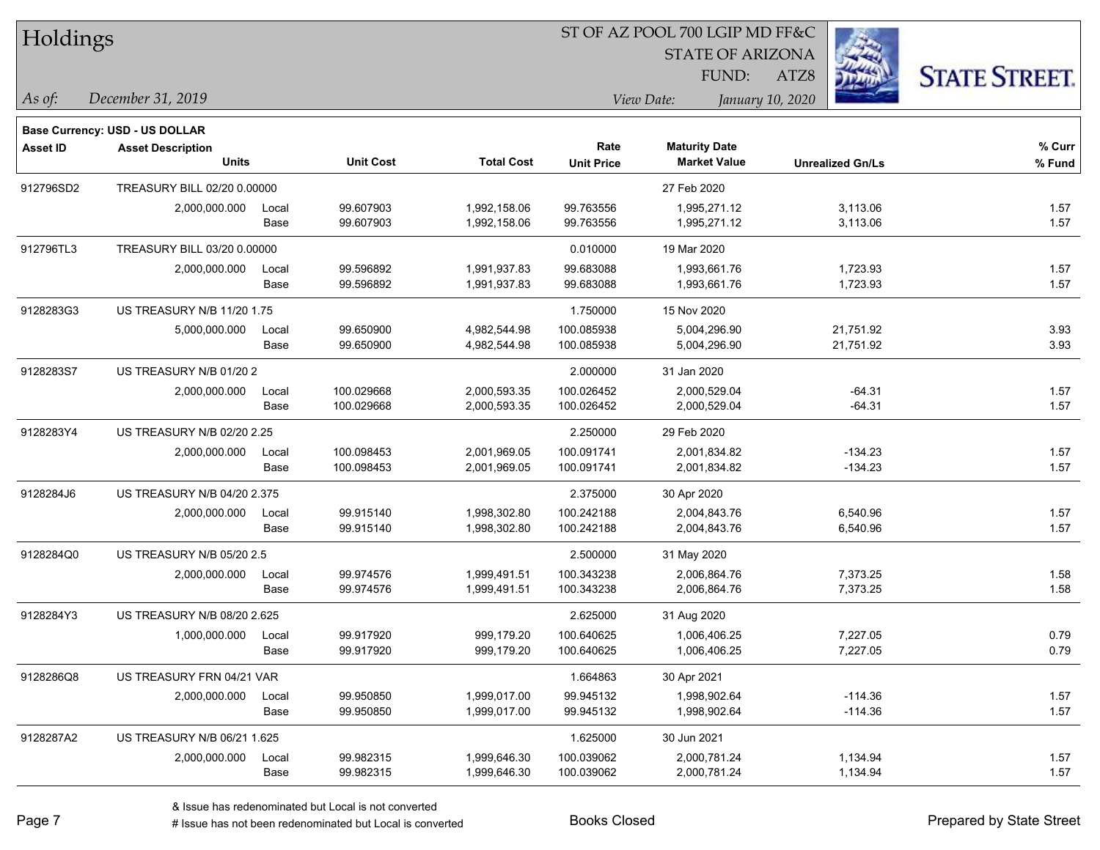| Holdings |  |
|----------|--|
|----------|--|

#### ST OF AZ POOL 700 LGIP MD FF&C

STATE OF ARIZONA

ATZ8



*December 31, 2019 As of: View Date: January 10, 2020*

**Base Currency: USD - US DOLLAR**

FUND:

| <b>Asset ID</b> | <b>Asset Description</b>           |       | <b>Unit Cost</b> | <b>Total Cost</b> | Rate              | <b>Maturity Date</b><br><b>Market Value</b> |                         | % Curr |
|-----------------|------------------------------------|-------|------------------|-------------------|-------------------|---------------------------------------------|-------------------------|--------|
|                 | <b>Units</b>                       |       |                  |                   | <b>Unit Price</b> |                                             | <b>Unrealized Gn/Ls</b> | % Fund |
| 912796SD2       | TREASURY BILL 02/20 0.00000        |       |                  |                   |                   | 27 Feb 2020                                 |                         |        |
|                 | 2,000,000.000                      | Local | 99.607903        | 1,992,158.06      | 99.763556         | 1,995,271.12                                | 3,113.06                | 1.57   |
|                 |                                    | Base  | 99.607903        | 1,992,158.06      | 99.763556         | 1,995,271.12                                | 3,113.06                | 1.57   |
| 912796TL3       | TREASURY BILL 03/20 0.00000        |       |                  |                   | 0.010000          | 19 Mar 2020                                 |                         |        |
|                 | 2,000,000.000                      | Local | 99.596892        | 1,991,937.83      | 99.683088         | 1,993,661.76                                | 1,723.93                | 1.57   |
|                 |                                    | Base  | 99.596892        | 1,991,937.83      | 99.683088         | 1,993,661.76                                | 1,723.93                | 1.57   |
| 9128283G3       | <b>US TREASURY N/B 11/20 1.75</b>  |       |                  |                   | 1.750000          | 15 Nov 2020                                 |                         |        |
|                 | 5,000,000.000                      | Local | 99.650900        | 4,982,544.98      | 100.085938        | 5,004,296.90                                | 21,751.92               | 3.93   |
|                 |                                    | Base  | 99.650900        | 4,982,544.98      | 100.085938        | 5,004,296.90                                | 21,751.92               | 3.93   |
| 9128283S7       | US TREASURY N/B 01/20 2            |       |                  |                   | 2.000000          | 31 Jan 2020                                 |                         |        |
|                 | 2,000,000.000                      | Local | 100.029668       | 2,000,593.35      | 100.026452        | 2,000,529.04                                | $-64.31$                | 1.57   |
|                 |                                    | Base  | 100.029668       | 2,000,593.35      | 100.026452        | 2,000,529.04                                | $-64.31$                | 1.57   |
| 9128283Y4       | US TREASURY N/B 02/20 2.25         |       |                  |                   | 2.250000          | 29 Feb 2020                                 |                         |        |
|                 | 2,000,000.000                      | Local | 100.098453       | 2,001,969.05      | 100.091741        | 2,001,834.82                                | $-134.23$               | 1.57   |
|                 |                                    | Base  | 100.098453       | 2,001,969.05      | 100.091741        | 2,001,834.82                                | $-134.23$               | 1.57   |
| 9128284J6       | <b>US TREASURY N/B 04/20 2.375</b> |       |                  |                   | 2.375000          | 30 Apr 2020                                 |                         |        |
|                 | 2,000,000.000                      | Local | 99.915140        | 1,998,302.80      | 100.242188        | 2,004,843.76                                | 6,540.96                | 1.57   |
|                 |                                    | Base  | 99.915140        | 1,998,302.80      | 100.242188        | 2,004,843.76                                | 6,540.96                | 1.57   |
| 9128284Q0       | US TREASURY N/B 05/20 2.5          |       |                  |                   | 2.500000          | 31 May 2020                                 |                         |        |
|                 | 2,000,000.000                      | Local | 99.974576        | 1,999,491.51      | 100.343238        | 2,006,864.76                                | 7,373.25                | 1.58   |
|                 |                                    | Base  | 99.974576        | 1,999,491.51      | 100.343238        | 2,006,864.76                                | 7,373.25                | 1.58   |
| 9128284Y3       | <b>US TREASURY N/B 08/20 2.625</b> |       |                  |                   | 2.625000          | 31 Aug 2020                                 |                         |        |
|                 | 1,000,000.000                      | Local | 99.917920        | 999,179.20        | 100.640625        | 1,006,406.25                                | 7,227.05                | 0.79   |
|                 |                                    | Base  | 99.917920        | 999,179.20        | 100.640625        | 1,006,406.25                                | 7,227.05                | 0.79   |
| 9128286Q8       | US TREASURY FRN 04/21 VAR          |       |                  |                   | 1.664863          | 30 Apr 2021                                 |                         |        |
|                 | 2,000,000.000                      | Local | 99.950850        | 1,999,017.00      | 99.945132         | 1,998,902.64                                | $-114.36$               | 1.57   |
|                 |                                    | Base  | 99.950850        | 1,999,017.00      | 99.945132         | 1,998,902.64                                | $-114.36$               | 1.57   |
| 9128287A2       | US TREASURY N/B 06/21 1.625        |       |                  |                   | 1.625000          | 30 Jun 2021                                 |                         |        |
|                 | 2,000,000.000                      | Local | 99.982315        | 1,999,646.30      | 100.039062        | 2,000,781.24                                | 1,134.94                | 1.57   |
|                 |                                    | Base  | 99.982315        | 1,999,646.30      | 100.039062        | 2,000,781.24                                | 1,134.94                | 1.57   |

A ISSUE ISSUE ISSUE ISSUE ISSUE ISSUE ISSUE ISSUE ISSUE ISSUE ISSUE ISSUE ISSUE ISSUE ISSUE ISSUE ISSUE ISSUE I<br>
# Issue has not been redenominated but Local is converted **BOOKS** Closed **Prepared by State Street**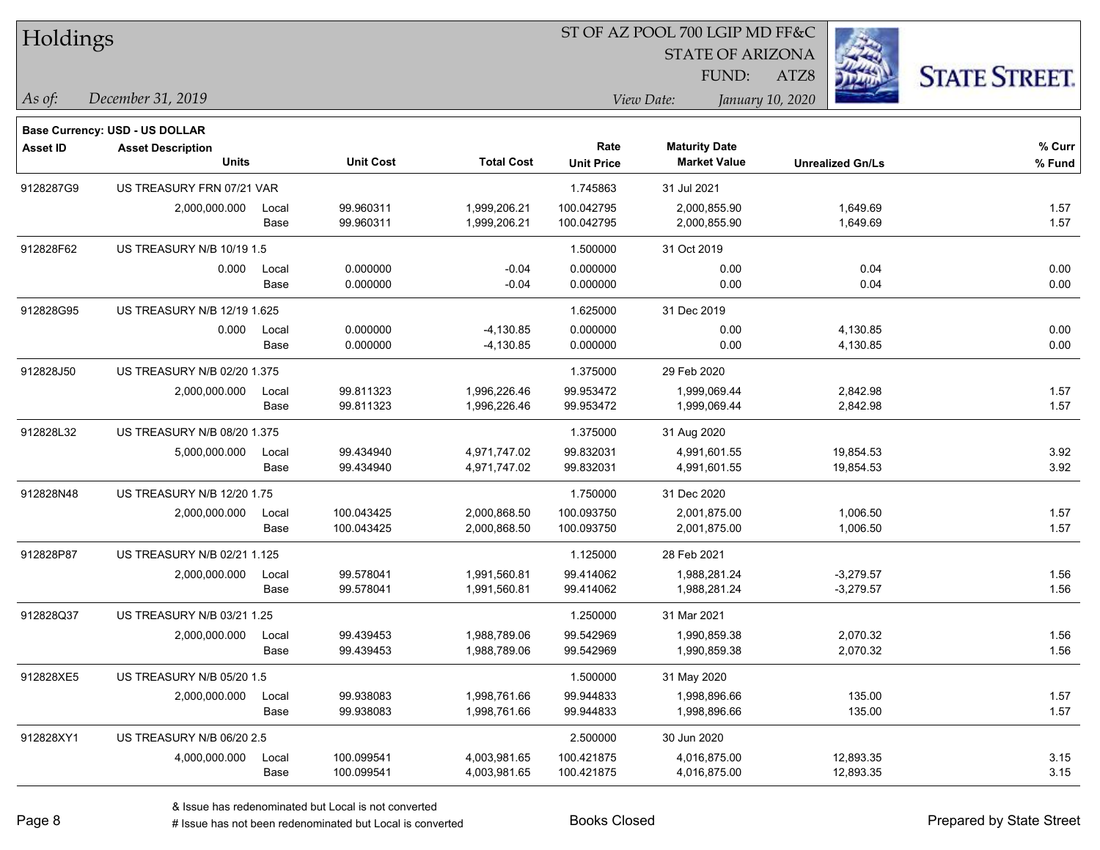| Holdings        |                                    |       |                  |                   | ST OF AZ POOL 700 LGIP MD FF&C |                         |                         |                      |
|-----------------|------------------------------------|-------|------------------|-------------------|--------------------------------|-------------------------|-------------------------|----------------------|
|                 |                                    |       |                  |                   |                                | <b>STATE OF ARIZONA</b> |                         |                      |
|                 |                                    |       |                  |                   |                                | FUND:                   | ATZ8                    | <b>STATE STREET.</b> |
| As of:          | December 31, 2019                  |       |                  |                   |                                | View Date:              | January 10, 2020        |                      |
|                 | Base Currency: USD - US DOLLAR     |       |                  |                   |                                |                         |                         |                      |
| <b>Asset ID</b> | <b>Asset Description</b>           |       |                  |                   | Rate                           | <b>Maturity Date</b>    |                         | % Curr               |
|                 | <b>Units</b>                       |       | <b>Unit Cost</b> | <b>Total Cost</b> | <b>Unit Price</b>              | <b>Market Value</b>     | <b>Unrealized Gn/Ls</b> | % Fund               |
| 9128287G9       | US TREASURY FRN 07/21 VAR          |       |                  |                   | 1.745863                       | 31 Jul 2021             |                         |                      |
|                 | 2,000,000.000                      | Local | 99.960311        | 1,999,206.21      | 100.042795                     | 2,000,855.90            | 1,649.69                | 1.57                 |
|                 |                                    | Base  | 99.960311        | 1,999,206.21      | 100.042795                     | 2,000,855.90            | 1,649.69                | 1.57                 |
| 912828F62       | US TREASURY N/B 10/19 1.5          |       |                  |                   | 1.500000                       | 31 Oct 2019             |                         |                      |
|                 | 0.000                              | Local | 0.000000         | $-0.04$           | 0.000000                       | 0.00                    | 0.04                    | 0.00                 |
|                 |                                    | Base  | 0.000000         | $-0.04$           | 0.000000                       | 0.00                    | 0.04                    | 0.00                 |
| 912828G95       | <b>US TREASURY N/B 12/19 1.625</b> |       |                  |                   | 1.625000                       | 31 Dec 2019             |                         |                      |
|                 | 0.000                              | Local | 0.000000         | $-4,130.85$       | 0.000000                       | 0.00                    | 4,130.85                | 0.00                 |
|                 |                                    | Base  | 0.000000         | $-4,130.85$       | 0.000000                       | 0.00                    | 4,130.85                | 0.00                 |
| 912828J50       | US TREASURY N/B 02/20 1.375        |       |                  |                   | 1.375000                       | 29 Feb 2020             |                         |                      |
|                 | 2,000,000.000                      | Local | 99.811323        | 1,996,226.46      | 99.953472                      | 1,999,069.44            | 2,842.98                | 1.57                 |
|                 |                                    | Base  | 99.811323        | 1,996,226.46      | 99.953472                      | 1,999,069.44            | 2,842.98                | 1.57                 |
| 912828L32       | US TREASURY N/B 08/20 1.375        |       |                  |                   | 1.375000                       | 31 Aug 2020             |                         |                      |
|                 | 5,000,000.000                      | Local | 99.434940        | 4,971,747.02      | 99.832031                      | 4,991,601.55            | 19,854.53               | 3.92                 |
|                 |                                    | Base  | 99.434940        | 4,971,747.02      | 99.832031                      | 4,991,601.55            | 19,854.53               | 3.92                 |
| 912828N48       | US TREASURY N/B 12/20 1.75         |       |                  |                   | 1.750000                       | 31 Dec 2020             |                         |                      |
|                 | 2,000,000.000                      | Local | 100.043425       | 2,000,868.50      | 100.093750                     | 2,001,875.00            | 1,006.50                | 1.57                 |
|                 |                                    | Base  | 100.043425       | 2,000,868.50      | 100.093750                     | 2,001,875.00            | 1,006.50                | 1.57                 |
| 912828P87       | US TREASURY N/B 02/21 1.125        |       |                  |                   | 1.125000                       | 28 Feb 2021             |                         |                      |
|                 | 2,000,000.000                      | Local | 99.578041        | 1,991,560.81      | 99.414062                      | 1,988,281.24            | $-3,279.57$             | 1.56                 |
|                 |                                    | Base  | 99.578041        | 1,991,560.81      | 99.414062                      | 1,988,281.24            | $-3,279.57$             | 1.56                 |
| 912828Q37       | US TREASURY N/B 03/21 1.25         |       |                  |                   | 1.250000                       | 31 Mar 2021             |                         |                      |
|                 | 2,000,000.000                      | Local | 99.439453        | 1,988,789.06      | 99.542969                      | 1,990,859.38            | 2,070.32                | 1.56                 |
|                 |                                    | Base  | 99.439453        | 1,988,789.06      | 99.542969                      | 1,990,859.38            | 2,070.32                | 1.56                 |
| 912828XE5       | US TREASURY N/B 05/20 1.5          |       |                  |                   | 1.500000                       | 31 May 2020             |                         |                      |
|                 | 2,000,000.000                      | Local | 99.938083        | 1,998,761.66      | 99.944833                      | 1,998,896.66            | 135.00                  | 1.57                 |
|                 |                                    | Base  | 99.938083        | 1,998,761.66      | 99.944833                      | 1,998,896.66            | 135.00                  | 1.57                 |
| 912828XY1       | US TREASURY N/B 06/20 2.5          |       |                  |                   | 2.500000                       | 30 Jun 2020             |                         |                      |
|                 | 4,000,000.000                      | Local | 100.099541       | 4,003,981.65      | 100.421875                     | 4,016,875.00            | 12,893.35               | 3.15                 |
|                 |                                    | Base  | 100.099541       | 4,003,981.65      | 100.421875                     | 4,016,875.00            | 12,893.35               | 3.15                 |

 $\overline{\phantom{0}}$ 

 $\overline{\phantom{a}}$ 

 $\overline{\phantom{0}}$ 

 $\overline{\phantom{a}}$ 

 $\overline{\phantom{0}}$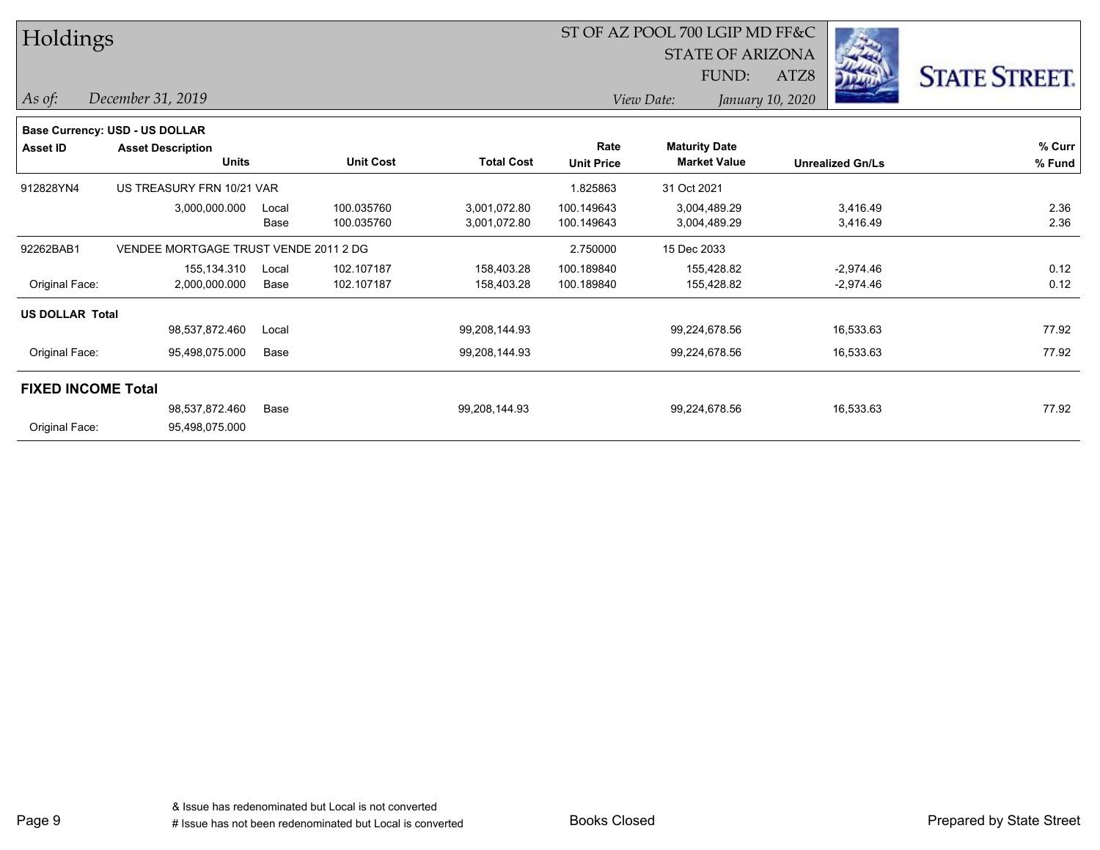| Holdings                  |                                          |               |                          |                              |                           | ST OF AZ POOL 700 LGIP MD FF&C<br><b>STATE OF ARIZONA</b> |                            |                      |  |  |
|---------------------------|------------------------------------------|---------------|--------------------------|------------------------------|---------------------------|-----------------------------------------------------------|----------------------------|----------------------|--|--|
|                           |                                          |               |                          |                              |                           | FUND:                                                     | <b>COLOR</b><br>ATZ8       | <b>STATE STREET.</b> |  |  |
| $\vert$ As of:            | December 31, 2019                        |               |                          |                              |                           | View Date:                                                | January 10, 2020           |                      |  |  |
|                           | <b>Base Currency: USD - US DOLLAR</b>    |               |                          |                              |                           |                                                           |                            |                      |  |  |
| <b>Asset ID</b>           | <b>Asset Description</b><br><b>Units</b> |               | <b>Unit Cost</b>         | <b>Total Cost</b>            | Rate<br><b>Unit Price</b> | <b>Maturity Date</b><br><b>Market Value</b>               | <b>Unrealized Gn/Ls</b>    | % Curr<br>% Fund     |  |  |
| 912828YN4                 | US TREASURY FRN 10/21 VAR                |               |                          |                              | 1.825863                  | 31 Oct 2021                                               |                            |                      |  |  |
|                           | 3,000,000.000                            | Local<br>Base | 100.035760<br>100.035760 | 3,001,072.80<br>3,001,072.80 | 100.149643<br>100.149643  | 3,004,489.29<br>3,004,489.29                              | 3,416.49<br>3,416.49       | 2.36<br>2.36         |  |  |
| 92262BAB1                 | VENDEE MORTGAGE TRUST VENDE 2011 2 DG    |               |                          |                              | 2.750000                  | 15 Dec 2033                                               |                            |                      |  |  |
| Original Face:            | 155,134.310<br>2,000,000.000             | Local<br>Base | 102.107187<br>102.107187 | 158,403.28<br>158,403.28     | 100.189840<br>100.189840  | 155,428.82<br>155,428.82                                  | $-2,974.46$<br>$-2,974.46$ | 0.12<br>0.12         |  |  |
| <b>US DOLLAR Total</b>    |                                          |               |                          |                              |                           |                                                           |                            |                      |  |  |
|                           | 98,537,872.460                           | Local         |                          | 99,208,144.93                |                           | 99,224,678.56                                             | 16,533.63                  | 77.92                |  |  |
| Original Face:            | 95,498,075.000                           | Base          |                          | 99,208,144.93                |                           | 99,224,678.56                                             | 16,533.63                  | 77.92                |  |  |
| <b>FIXED INCOME Total</b> |                                          |               |                          |                              |                           |                                                           |                            |                      |  |  |
|                           | 98.537.872.460                           | Base          |                          | 99,208,144.93                |                           | 99,224,678.56                                             | 16,533.63                  | 77.92                |  |  |
| Original Face:            | 95,498,075.000                           |               |                          |                              |                           |                                                           |                            |                      |  |  |

L.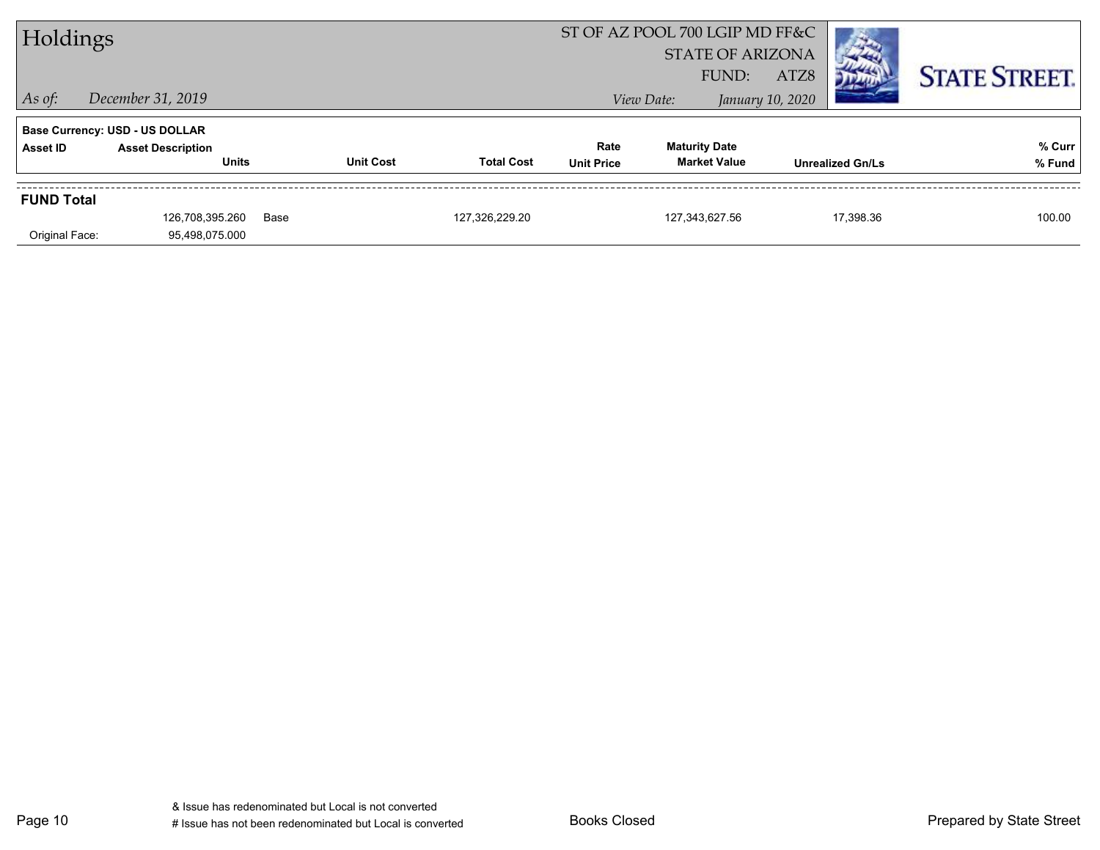| Holdings          |                                       |      |                  |                   | ST OF AZ POOL 700 LGIP MD FF&C |                      |                         |                  |                         |                      |
|-------------------|---------------------------------------|------|------------------|-------------------|--------------------------------|----------------------|-------------------------|------------------|-------------------------|----------------------|
|                   |                                       |      |                  |                   |                                |                      | <b>STATE OF ARIZONA</b> |                  |                         |                      |
|                   |                                       |      |                  |                   |                                |                      | FUND:                   | ATZ8             |                         | <b>STATE STREET.</b> |
| $\vert$ As of:    | December 31, 2019                     |      |                  |                   |                                | View Date:           |                         | January 10, 2020 |                         |                      |
|                   | <b>Base Currency: USD - US DOLLAR</b> |      |                  |                   |                                |                      |                         |                  |                         |                      |
| Asset ID          | <b>Asset Description</b>              |      |                  |                   | Rate                           | <b>Maturity Date</b> |                         |                  |                         | % Curr               |
|                   | <b>Units</b>                          |      | <b>Unit Cost</b> | <b>Total Cost</b> | <b>Unit Price</b>              |                      | <b>Market Value</b>     |                  | <b>Unrealized Gn/Ls</b> | % Fund               |
| <b>FUND Total</b> |                                       |      |                  |                   |                                |                      |                         |                  |                         |                      |
|                   | 126.708.395.260                       | Base |                  | 127.326.229.20    |                                | 127.343.627.56       |                         |                  | 17.398.36               | 100.00               |
| Original Face:    | 95,498,075.000                        |      |                  |                   |                                |                      |                         |                  |                         |                      |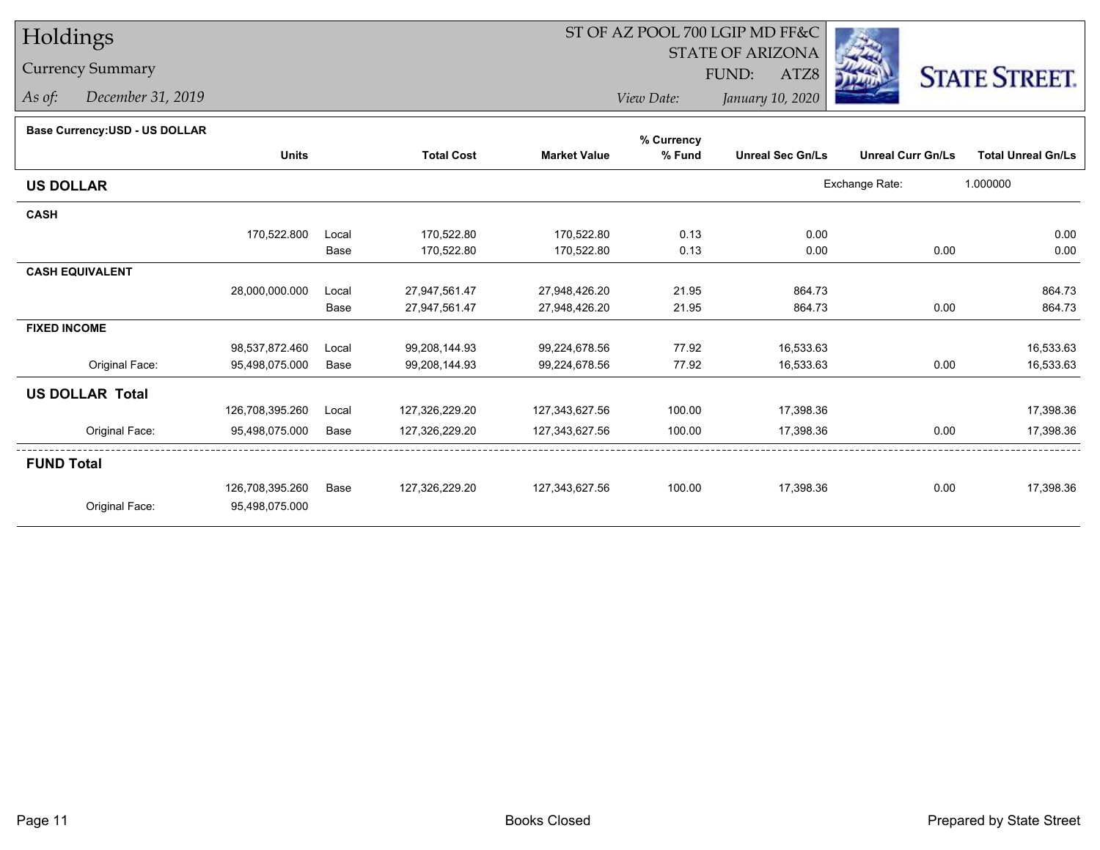### Currency Summary

*As of: December 31, 2019*

## ST OF AZ POOL 700 LGIP MD FF&C

STATE OF ARIZONA

ATZ8



*View Date:January 10, 2020*

FUND:

| Base Currency: USD - US DOLLAR |  |
|--------------------------------|--|

| base currency.cop - oo bollenn |                 |       |                   |                     | % Currency |                         |                          |                           |
|--------------------------------|-----------------|-------|-------------------|---------------------|------------|-------------------------|--------------------------|---------------------------|
|                                | <b>Units</b>    |       | <b>Total Cost</b> | <b>Market Value</b> | % Fund     | <b>Unreal Sec Gn/Ls</b> | <b>Unreal Curr Gn/Ls</b> | <b>Total Unreal Gn/Ls</b> |
| <b>US DOLLAR</b>               |                 |       |                   |                     |            |                         | Exchange Rate:           | 1.000000                  |
| <b>CASH</b>                    |                 |       |                   |                     |            |                         |                          |                           |
|                                | 170,522.800     | Local | 170,522.80        | 170,522.80          | 0.13       | 0.00                    |                          | 0.00                      |
|                                |                 | Base  | 170,522.80        | 170,522.80          | 0.13       | 0.00                    | 0.00                     | 0.00                      |
| <b>CASH EQUIVALENT</b>         |                 |       |                   |                     |            |                         |                          |                           |
|                                | 28,000,000.000  | Local | 27,947,561.47     | 27,948,426.20       | 21.95      | 864.73                  |                          | 864.73                    |
|                                |                 | Base  | 27,947,561.47     | 27,948,426.20       | 21.95      | 864.73                  | 0.00                     | 864.73                    |
| <b>FIXED INCOME</b>            |                 |       |                   |                     |            |                         |                          |                           |
|                                | 98,537,872.460  | Local | 99,208,144.93     | 99,224,678.56       | 77.92      | 16,533.63               |                          | 16,533.63                 |
| Original Face:                 | 95,498,075.000  | Base  | 99,208,144.93     | 99,224,678.56       | 77.92      | 16,533.63               | 0.00                     | 16,533.63                 |
| <b>US DOLLAR Total</b>         |                 |       |                   |                     |            |                         |                          |                           |
|                                | 126,708,395.260 | Local | 127,326,229.20    | 127,343,627.56      | 100.00     | 17,398.36               |                          | 17,398.36                 |
| Original Face:                 | 95,498,075.000  | Base  | 127,326,229.20    | 127,343,627.56      | 100.00     | 17,398.36               | 0.00                     | 17,398.36                 |
| <b>FUND Total</b>              |                 |       |                   |                     |            |                         |                          |                           |
|                                | 126,708,395.260 | Base  | 127,326,229.20    | 127,343,627.56      | 100.00     | 17,398.36               | 0.00                     | 17,398.36                 |
| Original Face:                 | 95,498,075.000  |       |                   |                     |            |                         |                          |                           |
|                                |                 |       |                   |                     |            |                         |                          |                           |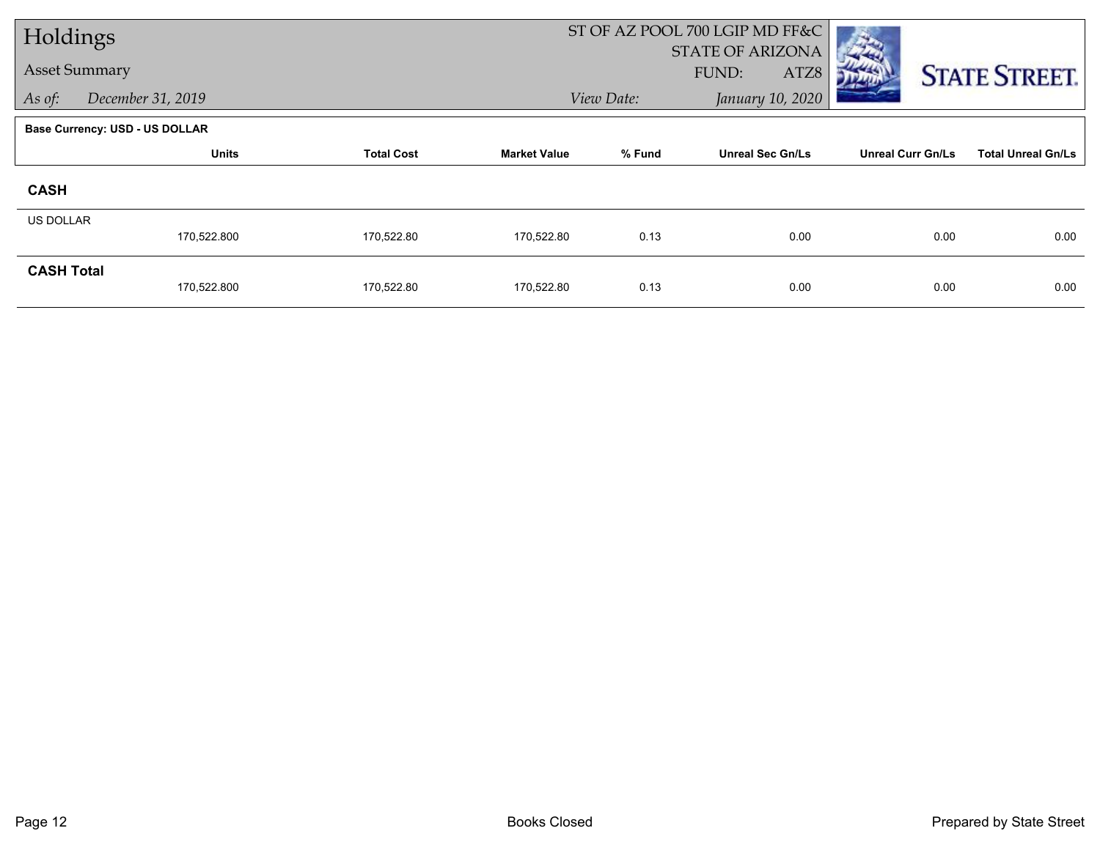| Holdings             |                                       |                   |                     | ST OF AZ POOL 700 LGIP MD FF&C |                         |                          |                           |
|----------------------|---------------------------------------|-------------------|---------------------|--------------------------------|-------------------------|--------------------------|---------------------------|
| <b>Asset Summary</b> |                                       |                   |                     | <b>STATE OF ARIZONA</b>        |                         |                          |                           |
|                      |                                       |                   |                     |                                | FUND:<br>ATZ8           |                          | <b>STATE STREET.</b>      |
| As of:               | December 31, 2019                     |                   |                     | View Date:                     | January 10, 2020        |                          |                           |
|                      | <b>Base Currency: USD - US DOLLAR</b> |                   |                     |                                |                         |                          |                           |
|                      | <b>Units</b>                          | <b>Total Cost</b> | <b>Market Value</b> | % Fund                         | <b>Unreal Sec Gn/Ls</b> | <b>Unreal Curr Gn/Ls</b> | <b>Total Unreal Gn/Ls</b> |
| <b>CASH</b>          |                                       |                   |                     |                                |                         |                          |                           |
| <b>US DOLLAR</b>     |                                       |                   |                     |                                |                         |                          |                           |
|                      | 170,522.800                           | 170,522.80        | 170,522.80          | 0.13                           | 0.00                    | 0.00                     | 0.00                      |
| <b>CASH Total</b>    |                                       |                   |                     |                                |                         |                          |                           |
|                      | 170,522.800                           | 170,522.80        | 170,522.80          | 0.13                           | 0.00                    | 0.00                     | 0.00                      |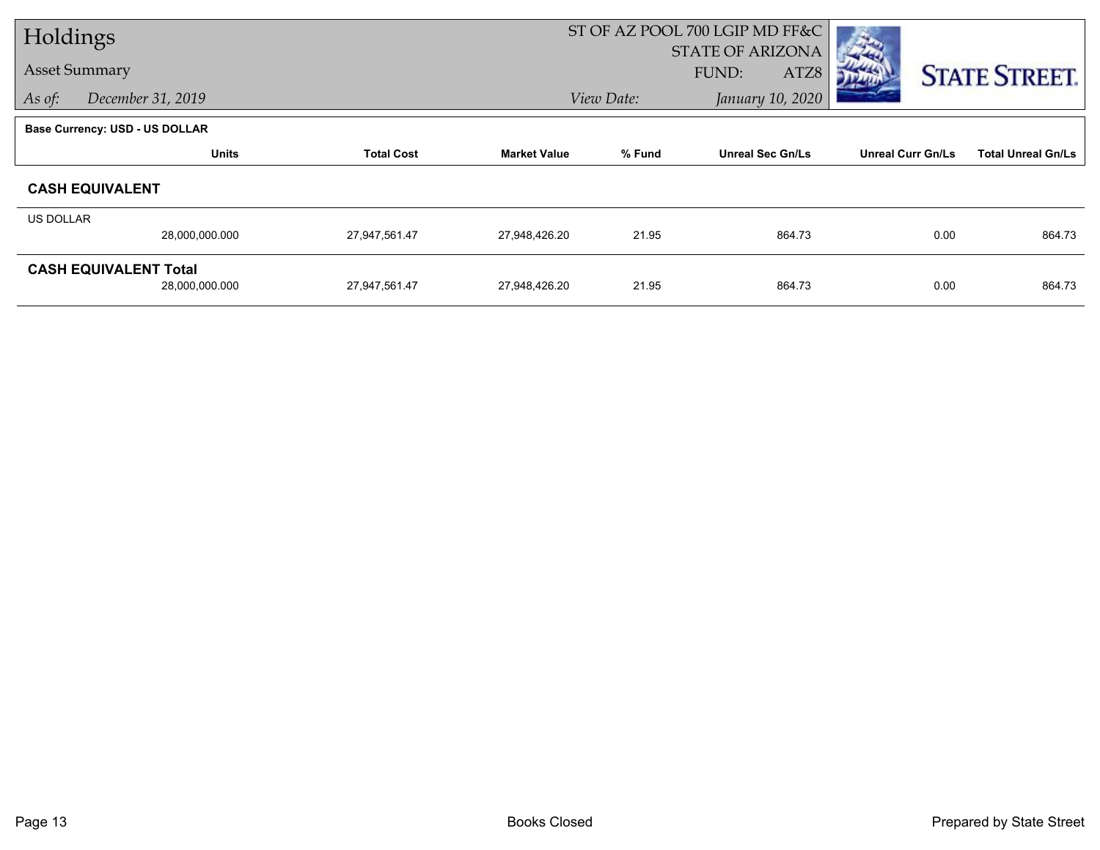| Holdings  |                                       |                   |                     | ST OF AZ POOL 700 LGIP MD FF&C |                         |                          |                           |
|-----------|---------------------------------------|-------------------|---------------------|--------------------------------|-------------------------|--------------------------|---------------------------|
|           |                                       |                   |                     |                                | <b>STATE OF ARIZONA</b> |                          |                           |
|           | <b>Asset Summary</b>                  |                   |                     |                                | FUND:<br>ATZ8           |                          | <b>STATE STREET.</b>      |
| As of:    | December 31, 2019                     |                   |                     | January 10, 2020<br>View Date: |                         |                          |                           |
|           | <b>Base Currency: USD - US DOLLAR</b> |                   |                     |                                |                         |                          |                           |
|           | <b>Units</b>                          | <b>Total Cost</b> | <b>Market Value</b> | % Fund                         | <b>Unreal Sec Gn/Ls</b> | <b>Unreal Curr Gn/Ls</b> | <b>Total Unreal Gn/Ls</b> |
|           | <b>CASH EQUIVALENT</b>                |                   |                     |                                |                         |                          |                           |
| US DOLLAR |                                       |                   |                     |                                |                         |                          |                           |
|           | 28,000,000.000                        | 27,947,561.47     | 27,948,426.20       | 21.95                          | 864.73                  | 0.00                     | 864.73                    |
|           | <b>CASH EQUIVALENT Total</b>          |                   |                     |                                |                         |                          |                           |
|           | 28,000,000.000                        | 27,947,561.47     | 27,948,426.20       | 21.95                          | 864.73                  | 0.00                     | 864.73                    |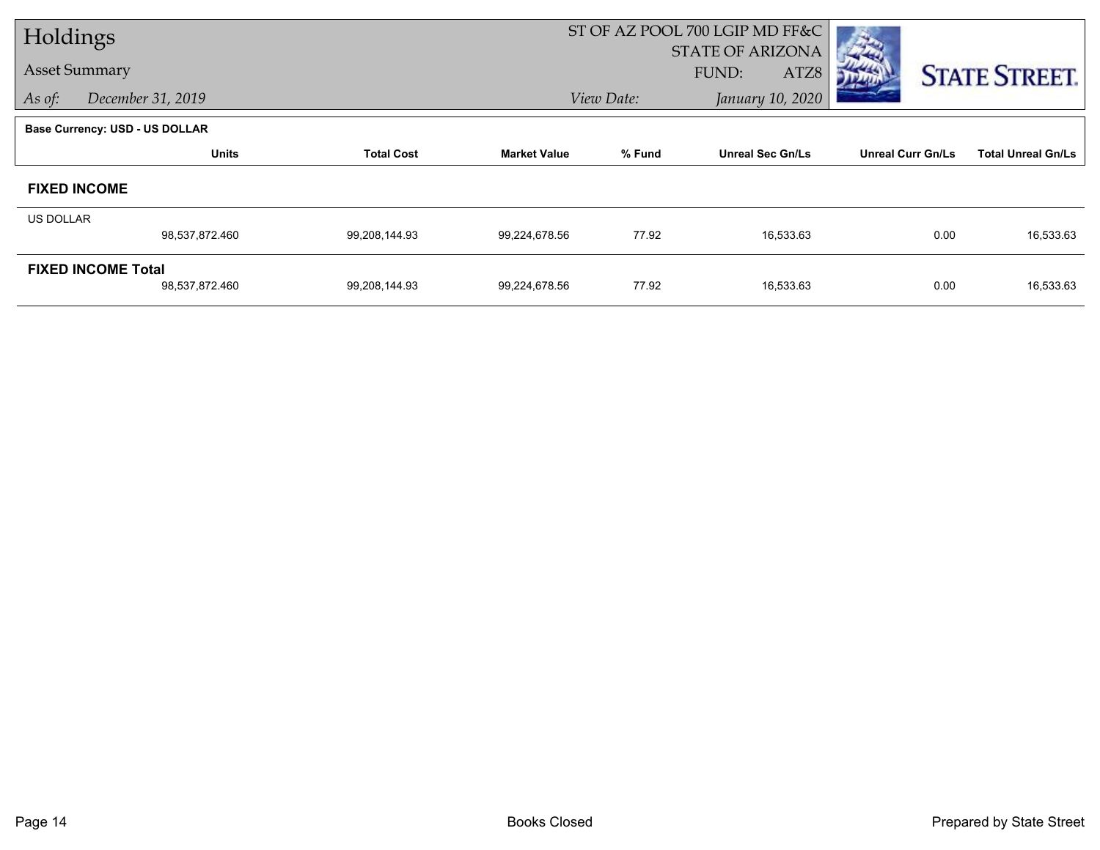| Holdings  |                                       |                   |                     |            | ST OF AZ POOL 700 LGIP MD FF&C |                          |                           |
|-----------|---------------------------------------|-------------------|---------------------|------------|--------------------------------|--------------------------|---------------------------|
|           |                                       |                   |                     |            | <b>STATE OF ARIZONA</b>        |                          |                           |
|           | <b>Asset Summary</b>                  |                   |                     |            | FUND:<br>ATZ8                  |                          | <b>STATE STREET.</b>      |
| As of:    | December 31, 2019                     |                   |                     | View Date: | January 10, 2020               |                          |                           |
|           | <b>Base Currency: USD - US DOLLAR</b> |                   |                     |            |                                |                          |                           |
|           | <b>Units</b>                          | <b>Total Cost</b> | <b>Market Value</b> | % Fund     | <b>Unreal Sec Gn/Ls</b>        | <b>Unreal Curr Gn/Ls</b> | <b>Total Unreal Gn/Ls</b> |
|           | <b>FIXED INCOME</b>                   |                   |                     |            |                                |                          |                           |
| US DOLLAR |                                       |                   |                     |            |                                |                          |                           |
|           | 98,537,872.460                        | 99,208,144.93     | 99,224,678.56       | 77.92      | 16,533.63                      | 0.00                     | 16,533.63                 |
|           | <b>FIXED INCOME Total</b>             |                   |                     |            |                                |                          |                           |
|           | 98,537,872.460                        | 99,208,144.93     | 99,224,678.56       | 77.92      | 16,533.63                      | 0.00                     | 16,533.63                 |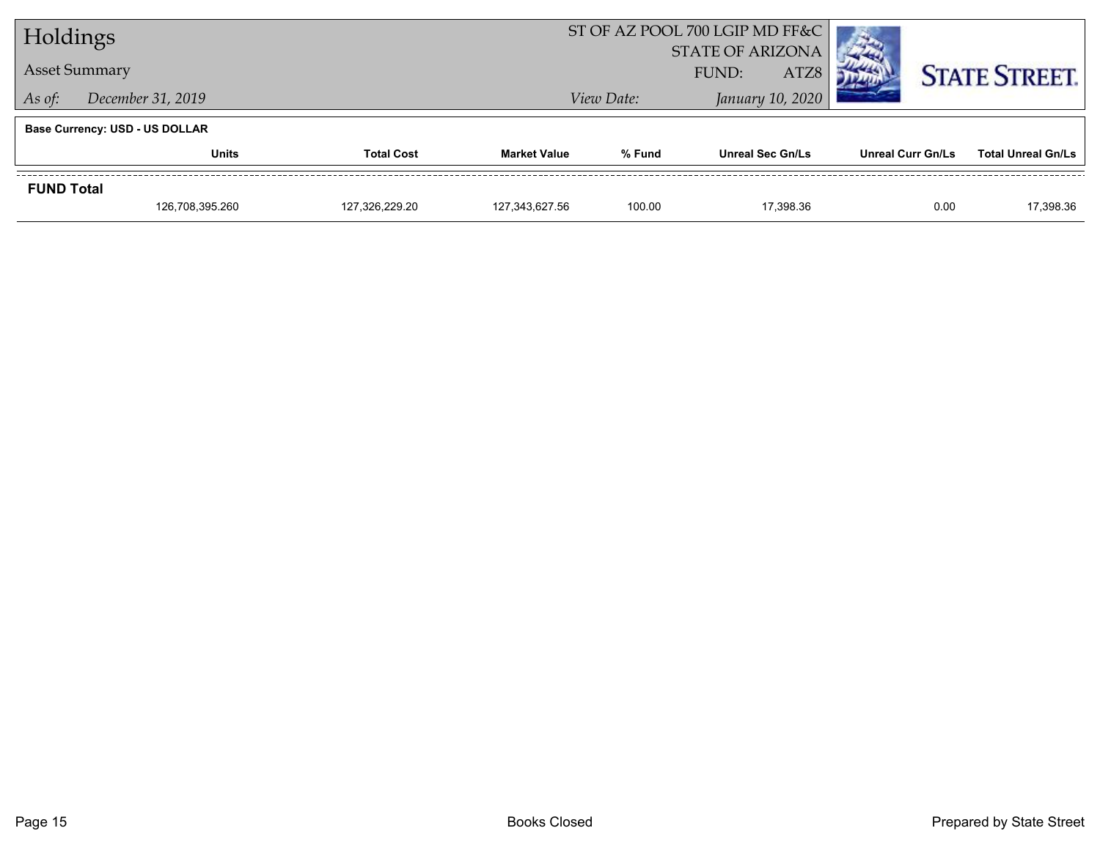| Holdings                    |                                       |                |                     | ST OF AZ POOL 700 LGIP MD FF&C |                         |                          |                           |
|-----------------------------|---------------------------------------|----------------|---------------------|--------------------------------|-------------------------|--------------------------|---------------------------|
|                             |                                       |                |                     | <b>STATE OF ARIZONA</b>        |                         |                          |                           |
|                             | <b>Asset Summary</b>                  |                |                     | ATZ8<br>FUND:                  |                         |                          | <b>STATE STREET.</b>      |
| December 31, 2019<br>As of: |                                       |                |                     | View Date:                     | January 10, 2020        |                          |                           |
|                             | <b>Base Currency: USD - US DOLLAR</b> |                |                     |                                |                         |                          |                           |
|                             | <b>Total Cost</b><br>Units            |                | <b>Market Value</b> | % Fund                         | <b>Unreal Sec Gn/Ls</b> | <b>Unreal Curr Gn/Ls</b> | <b>Total Unreal Gn/Ls</b> |
| <b>FUND Total</b>           |                                       |                |                     |                                |                         |                          |                           |
|                             | 126,708,395.260                       | 127.326.229.20 | 127.343.627.56      | 100.00                         | 17.398.36               | 0.00                     | 17,398.36                 |